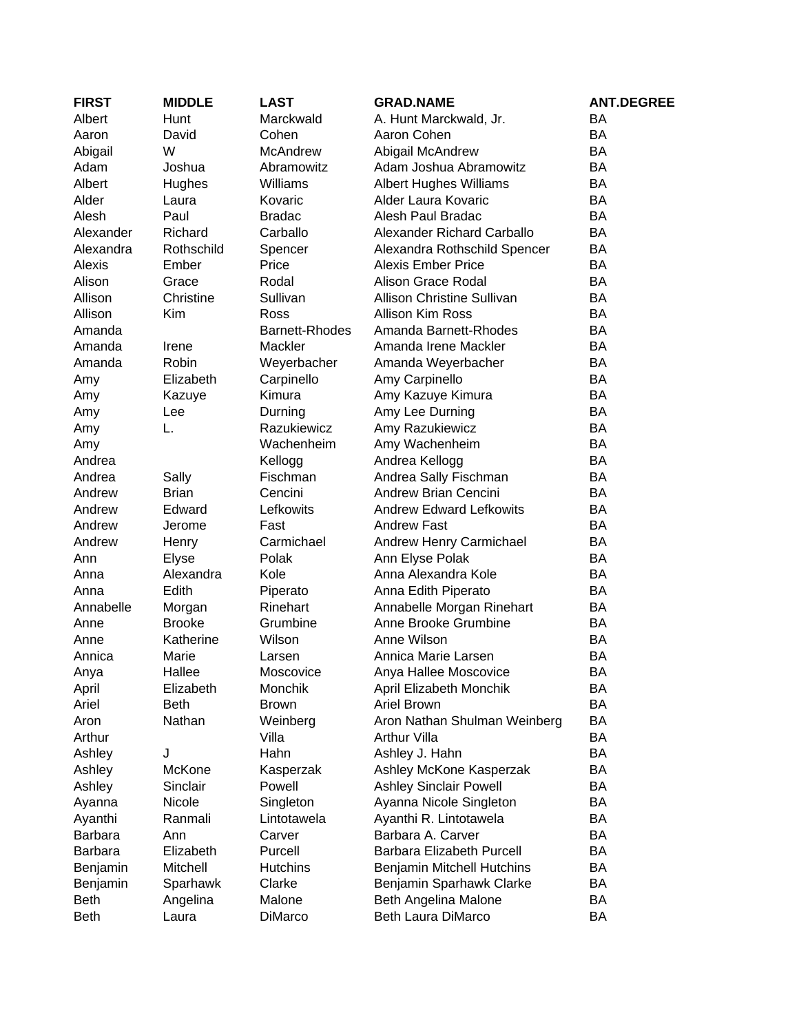| <b>FIRST</b>   | <b>MIDDLE</b> | <b>LAST</b>            | <b>GRAD.NAME</b>                  | <b>ANT.DEGREE</b> |
|----------------|---------------|------------------------|-----------------------------------|-------------------|
| Albert         | Hunt          | Marckwald              | A. Hunt Marckwald, Jr.            | BA                |
| Aaron          | David         | Cohen                  | Aaron Cohen                       | <b>BA</b>         |
| Abigail        | W             | McAndrew               | Abigail McAndrew                  | <b>BA</b>         |
| Adam           | Joshua        | Abramowitz             | Adam Joshua Abramowitz            | <b>BA</b>         |
| Albert         | Hughes        | Williams               | <b>Albert Hughes Williams</b>     | BA                |
| Alder          | Laura         | Kovaric                | Alder Laura Kovaric               | <b>BA</b>         |
| Alesh          | Paul          | <b>Bradac</b>          | Alesh Paul Bradac                 | <b>BA</b>         |
| Alexander      | Richard       | Carballo               | Alexander Richard Carballo        | <b>BA</b>         |
| Alexandra      | Rothschild    | Spencer                | Alexandra Rothschild Spencer      | BA                |
| Alexis         | Ember         | Price                  | <b>Alexis Ember Price</b>         | <b>BA</b>         |
| Alison         | Grace         | Rodal                  | <b>Alison Grace Rodal</b>         | BA                |
| Allison        | Christine     | Sullivan               | <b>Allison Christine Sullivan</b> | BA                |
| Allison        | Kim           | Ross                   | <b>Allison Kim Ross</b>           | <b>BA</b>         |
| Amanda         |               | <b>Barnett-Rhodes</b>  | Amanda Barnett-Rhodes             | BA                |
| Amanda         | Irene         | Mackler                | Amanda Irene Mackler              | BA                |
| Amanda         | Robin         | Weyerbacher            | Amanda Weyerbacher                | BA                |
|                | Elizabeth     | Carpinello             | Amy Carpinello                    | <b>BA</b>         |
| Amy            |               | Kimura                 | Amy Kazuye Kimura                 | BA                |
| Amy            | Kazuye        |                        |                                   | BA                |
| Amy            | Lee<br>L.     | Durning<br>Razukiewicz | Amy Lee Durning                   | BA                |
| Amy            |               |                        | Amy Razukiewicz                   |                   |
| Amy            |               | Wachenheim             | Amy Wachenheim                    | BA                |
| Andrea         |               | Kellogg                | Andrea Kellogg                    | BA                |
| Andrea         | Sally         | Fischman               | Andrea Sally Fischman             | BA                |
| Andrew         | <b>Brian</b>  | Cencini                | Andrew Brian Cencini              | BA                |
| Andrew         | Edward        | Lefkowits              | <b>Andrew Edward Lefkowits</b>    | <b>BA</b>         |
| Andrew         | Jerome        | Fast                   | <b>Andrew Fast</b>                | BA                |
| Andrew         | Henry         | Carmichael             | Andrew Henry Carmichael           | BA                |
| Ann            | Elyse         | Polak                  | Ann Elyse Polak                   | <b>BA</b>         |
| Anna           | Alexandra     | Kole                   | Anna Alexandra Kole               | <b>BA</b>         |
| Anna           | Edith         | Piperato               | Anna Edith Piperato               | BA                |
| Annabelle      | Morgan        | Rinehart               | Annabelle Morgan Rinehart         | BA                |
| Anne           | <b>Brooke</b> | Grumbine               | Anne Brooke Grumbine              | <b>BA</b>         |
| Anne           | Katherine     | Wilson                 | Anne Wilson                       | BA                |
| Annica         | Marie         | Larsen                 | Annica Marie Larsen               | BA                |
| Anya           | Hallee        | Moscovice              | Anya Hallee Moscovice             | <b>BA</b>         |
| April          | Elizabeth     | Monchik                | April Elizabeth Monchik           | BA                |
| Ariel          | Beth          | <b>Brown</b>           | Ariel Brown                       | BA                |
| Aron           | Nathan        | Weinberg               | Aron Nathan Shulman Weinberg      | BA                |
| Arthur         |               | Villa                  | <b>Arthur Villa</b>               | BA                |
| Ashley         | J             | Hahn                   | Ashley J. Hahn                    | BA                |
| Ashley         | McKone        | Kasperzak              | Ashley McKone Kasperzak           | BA                |
| Ashley         | Sinclair      | Powell                 | <b>Ashley Sinclair Powell</b>     | BA                |
| Ayanna         | Nicole        | Singleton              | Ayanna Nicole Singleton           | BA                |
| Ayanthi        | Ranmali       | Lintotawela            | Ayanthi R. Lintotawela            | BA                |
| <b>Barbara</b> | Ann           | Carver                 | Barbara A. Carver                 | BA                |
| <b>Barbara</b> | Elizabeth     | Purcell                | Barbara Elizabeth Purcell         | BA                |
| Benjamin       | Mitchell      | <b>Hutchins</b>        | Benjamin Mitchell Hutchins        | BA                |
| Benjamin       | Sparhawk      | Clarke                 | Benjamin Sparhawk Clarke          | BA                |
| <b>Beth</b>    | Angelina      | Malone                 | Beth Angelina Malone              | BA                |
| <b>Beth</b>    | Laura         | DiMarco                | <b>Beth Laura DiMarco</b>         | BA                |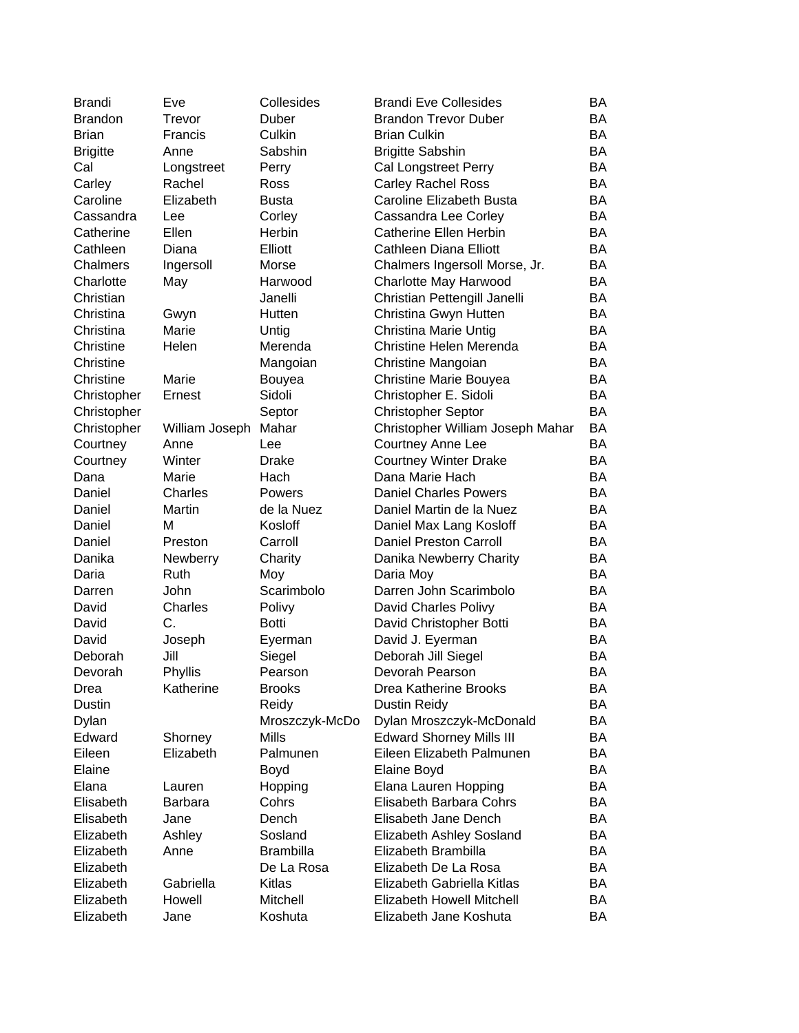| Brandi          | Eve                  | Collesides       | <b>Brandi Eve Collesides</b>                    | BA        |
|-----------------|----------------------|------------------|-------------------------------------------------|-----------|
| <b>Brandon</b>  | Trevor               | Duber            | <b>Brandon Trevor Duber</b>                     | <b>BA</b> |
| <b>Brian</b>    | Francis              | Culkin           | <b>Brian Culkin</b>                             | BA        |
| <b>Brigitte</b> | Anne                 | Sabshin          | <b>Brigitte Sabshin</b>                         | BA        |
| Cal             | Longstreet           | Perry            | <b>Cal Longstreet Perry</b>                     | BA        |
| Carley          | Rachel               | <b>Ross</b>      | <b>Carley Rachel Ross</b>                       | BA        |
| Caroline        | Elizabeth            | <b>Busta</b>     | Caroline Elizabeth Busta                        | BA        |
| Cassandra       | Lee                  | Corley           | Cassandra Lee Corley                            | BA        |
| Catherine       | Ellen                | Herbin           | Catherine Ellen Herbin                          | BA        |
| Cathleen        | Diana                | Elliott          | Cathleen Diana Elliott                          | BA        |
| Chalmers        | Ingersoll            | Morse            | Chalmers Ingersoll Morse, Jr.                   | BA        |
| Charlotte       | May                  | Harwood          | Charlotte May Harwood                           | BA        |
| Christian       |                      | Janelli          | Christian Pettengill Janelli                    | BA        |
| Christina       | Gwyn                 | Hutten           | Christina Gwyn Hutten                           | BA        |
| Christina       | Marie                | Untig            | Christina Marie Untig                           | BA        |
| Christine       | Helen                | Merenda          | Christine Helen Merenda                         | BA        |
| Christine       |                      | Mangoian         | Christine Mangoian                              | BA        |
| Christine       | Marie                | Bouyea           | Christine Marie Bouyea                          | BA        |
| Christopher     | Ernest               | Sidoli           | Christopher E. Sidoli                           | <b>BA</b> |
| Christopher     |                      | Septor           | <b>Christopher Septor</b>                       | BA        |
| Christopher     | William Joseph Mahar |                  | Christopher William Joseph Mahar                | <b>BA</b> |
| Courtney        | Anne                 | Lee              | <b>Courtney Anne Lee</b>                        | BA        |
|                 | Winter               | <b>Drake</b>     |                                                 | BA        |
| Courtney        | Marie                | Hach             | <b>Courtney Winter Drake</b><br>Dana Marie Hach | BA        |
| Dana            |                      |                  |                                                 |           |
| Daniel          | Charles              | Powers           | <b>Daniel Charles Powers</b>                    | <b>BA</b> |
| Daniel          | Martin               | de la Nuez       | Daniel Martin de la Nuez                        | BA        |
| Daniel          | м                    | Kosloff          | Daniel Max Lang Kosloff                         | BA        |
| Daniel          | Preston              | Carroll          | <b>Daniel Preston Carroll</b>                   | BA        |
| Danika          | Newberry             | Charity          | Danika Newberry Charity                         | BA        |
| Daria           | <b>Ruth</b>          | Moy              | Daria Moy                                       | BA        |
| Darren          | John                 | Scarimbolo       | Darren John Scarimbolo                          | BA        |
| David           | Charles              | Polivy           | David Charles Polivy                            | BA        |
| David           | C.                   | <b>Botti</b>     | David Christopher Botti                         | BA        |
| David           | Joseph               | Eyerman          | David J. Eyerman                                | BA        |
| Deborah         | Jill                 | Siegel           | Deborah Jill Siegel                             | BA        |
| Devorah         | Phyllis              | Pearson          | Devorah Pearson                                 | <b>BA</b> |
| Drea            | Katherine            | <b>Brooks</b>    | Drea Katherine Brooks                           | BA        |
| Dustin          |                      | Reidy            | <b>Dustin Reidy</b>                             | BA        |
| Dylan           |                      | Mroszczyk-McDo   | Dylan Mroszczyk-McDonald                        | BA        |
| Edward          | Shorney              | Mills            | <b>Edward Shorney Mills III</b>                 | BA        |
| Eileen          | Elizabeth            | Palmunen         | Eileen Elizabeth Palmunen                       | BA        |
| Elaine          |                      | Boyd             | Elaine Boyd                                     | BA        |
| Elana           | Lauren               | Hopping          | Elana Lauren Hopping                            | BA        |
| Elisabeth       | Barbara              | Cohrs            | Elisabeth Barbara Cohrs                         | BA        |
| Elisabeth       | Jane                 | Dench            | Elisabeth Jane Dench                            | BA        |
| Elizabeth       | Ashley               | Sosland          | Elizabeth Ashley Sosland                        | BA        |
| Elizabeth       | Anne                 | <b>Brambilla</b> | Elizabeth Brambilla                             | BA        |
| Elizabeth       |                      | De La Rosa       | Elizabeth De La Rosa                            | BA        |
| Elizabeth       | Gabriella            | Kitlas           | Elizabeth Gabriella Kitlas                      | BA        |
| Elizabeth       | Howell               | Mitchell         | Elizabeth Howell Mitchell                       | BA        |
| Elizabeth       | Jane                 | Koshuta          | Elizabeth Jane Koshuta                          | BA        |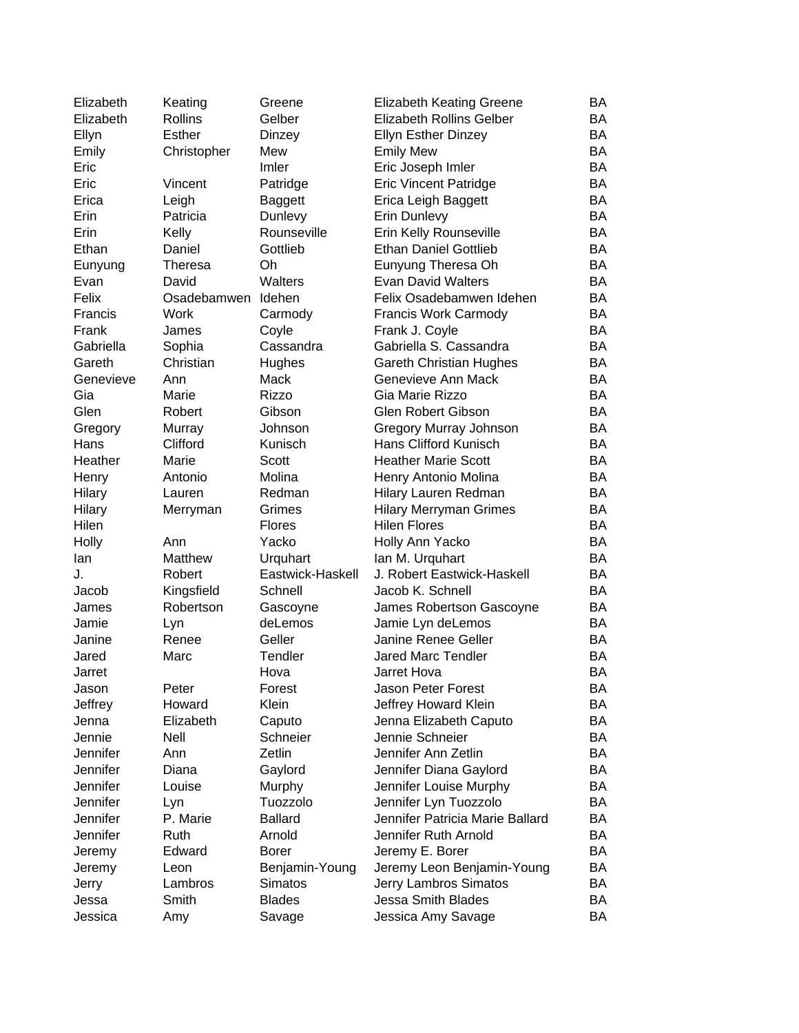| Elizabeth       | Keating       | Greene           | <b>Elizabeth Keating Greene</b> | BA        |
|-----------------|---------------|------------------|---------------------------------|-----------|
| Elizabeth       | Rollins       | Gelber           | <b>Elizabeth Rollins Gelber</b> | BA        |
| Ellyn           | <b>Esther</b> | Dinzey           | <b>Ellyn Esther Dinzey</b>      | ΒA        |
| Emily           | Christopher   | Mew              | <b>Emily Mew</b>                | <b>BA</b> |
| Eric            |               | Imler            | Eric Joseph Imler               | <b>BA</b> |
| Eric            | Vincent       | Patridge         | <b>Eric Vincent Patridge</b>    | <b>BA</b> |
| Erica           | Leigh         | <b>Baggett</b>   | Erica Leigh Baggett             | BA        |
| Erin            | Patricia      | Dunlevy          | Erin Dunlevy                    | BA        |
| Erin            | Kelly         | Rounseville      | Erin Kelly Rounseville          | BA        |
| Ethan           | Daniel        | Gottlieb         | <b>Ethan Daniel Gottlieb</b>    | BA        |
| Eunyung         | Theresa       | Oh               | Eunyung Theresa Oh              | BA        |
| Evan            | David         | Walters          | <b>Evan David Walters</b>       | <b>BA</b> |
| Felix           | Osadebamwen   | Idehen           | Felix Osadebamwen Idehen        | <b>BA</b> |
| Francis         | Work          | Carmody          | <b>Francis Work Carmody</b>     | BA        |
| Frank           | James         | Coyle            | Frank J. Coyle                  | <b>BA</b> |
| Gabriella       | Sophia        | Cassandra        | Gabriella S. Cassandra          | <b>BA</b> |
| Gareth          | Christian     | Hughes           | <b>Gareth Christian Hughes</b>  | <b>BA</b> |
| Genevieve       | Ann           | Mack             | Genevieve Ann Mack              | <b>BA</b> |
| Gia             | Marie         | <b>Rizzo</b>     | Gia Marie Rizzo                 | <b>BA</b> |
| Glen            | Robert        | Gibson           | Glen Robert Gibson              | BA        |
| Gregory         | Murray        | Johnson          | Gregory Murray Johnson          | BA        |
| Hans            | Clifford      | Kunisch          | Hans Clifford Kunisch           | BA        |
| Heather         | Marie         | Scott            | <b>Heather Marie Scott</b>      | <b>BA</b> |
| Henry           | Antonio       | Molina           | Henry Antonio Molina            | <b>BA</b> |
| Hilary          | Lauren        | Redman           | Hilary Lauren Redman            | <b>BA</b> |
| <b>Hilary</b>   | Merryman      | Grimes           | <b>Hilary Merryman Grimes</b>   | BA        |
| Hilen           |               | <b>Flores</b>    | <b>Hilen Flores</b>             | BA        |
| Holly           | Ann           | Yacko            | Holly Ann Yacko                 | <b>BA</b> |
| lan             | Matthew       | Urquhart         | Ian M. Urquhart                 | <b>BA</b> |
| J.              | Robert        | Eastwick-Haskell | J. Robert Eastwick-Haskell      | ΒA        |
| Jacob           | Kingsfield    | Schnell          | Jacob K. Schnell                | <b>BA</b> |
| James           | Robertson     | Gascoyne         | James Robertson Gascoyne        | BA        |
| Jamie           | Lyn           | deLemos          | Jamie Lyn deLemos               | BA        |
| Janine          | Renee         | Geller           | <b>Janine Renee Geller</b>      | BA        |
| Jared           | Marc          | <b>Tendler</b>   | <b>Jared Marc Tendler</b>       | <b>BA</b> |
| Jarret          |               | Hova             | Jarret Hova                     | <b>BA</b> |
| Jason           | Peter         | Forest           | Jason Peter Forest              | BA        |
| Jeffrey         | Howard        | Klein            | Jeffrey Howard Klein            | BA        |
| Jenna           | Elizabeth     | Caputo           | Jenna Elizabeth Caputo          | BA        |
| Jennie          | Nell          | Schneier         | Jennie Schneier                 | BA        |
| <b>Jennifer</b> | Ann           | Zetlin           | Jennifer Ann Zetlin             | BA        |
| Jennifer        | Diana         | Gaylord          | Jennifer Diana Gaylord          | BA        |
| Jennifer        | Louise        | Murphy           | Jennifer Louise Murphy          | <b>BA</b> |
| Jennifer        | Lyn           | Tuozzolo         | Jennifer Lyn Tuozzolo           | <b>BA</b> |
| Jennifer        | P. Marie      | <b>Ballard</b>   | Jennifer Patricia Marie Ballard | BA        |
| Jennifer        | Ruth          | Arnold           | Jennifer Ruth Arnold            | BA        |
| Jeremy          | Edward        | <b>Borer</b>     | Jeremy E. Borer                 | BA        |
| Jeremy          | Leon          | Benjamin-Young   | Jeremy Leon Benjamin-Young      | BA        |
| Jerry           | Lambros       | Simatos          | Jerry Lambros Simatos           | BA        |
| Jessa           | Smith         | <b>Blades</b>    | Jessa Smith Blades              | BA        |
| Jessica         | Amy           | Savage           | Jessica Amy Savage              | BA        |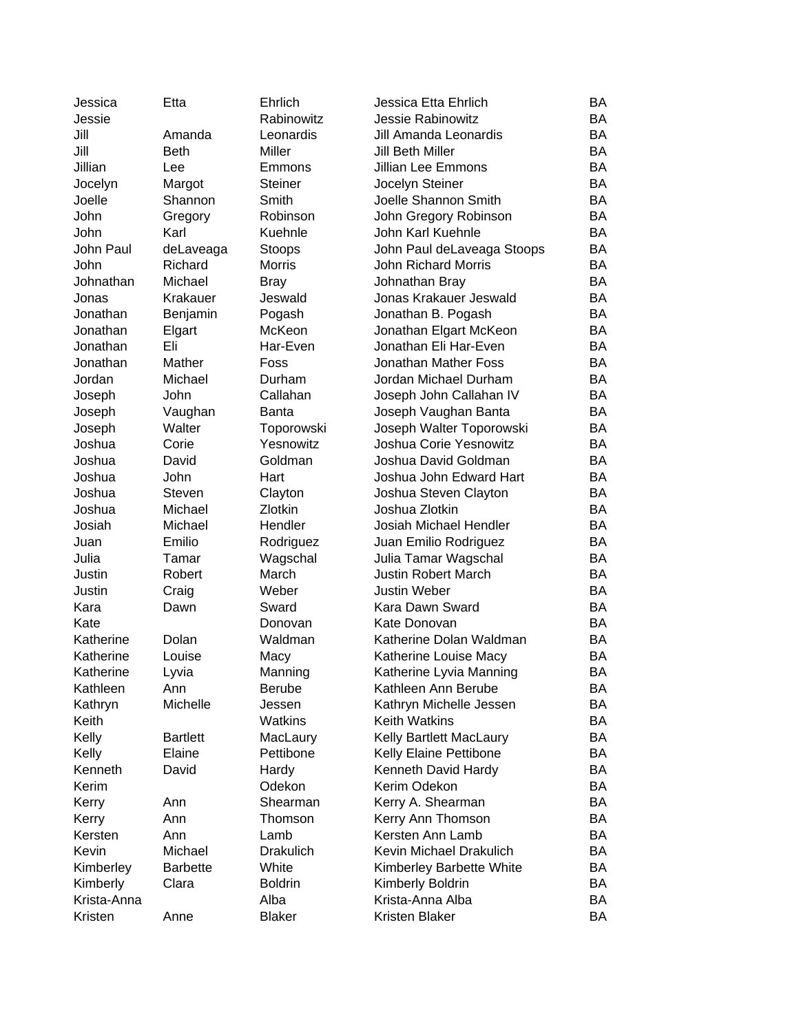| Rabinowitz<br>BA<br>Jessie<br><b>Jessie Rabinowitz</b><br>BA<br>Jill<br>Leonardis<br>Jill Amanda Leonardis<br>Amanda<br>Jill<br><b>BA</b><br><b>Beth</b><br>Miller<br>Jill Beth Miller<br>Jillian<br><b>BA</b><br><b>Jillian Lee Emmons</b><br>Lee<br>Emmons<br><b>BA</b><br>Jocelyn Steiner<br>Jocelyn<br>Margot<br><b>Steiner</b><br>Joelle Shannon Smith<br><b>BA</b><br>Joelle<br>Shannon<br>Smith<br>John<br>John Gregory Robinson<br>BA<br>Robinson<br>Gregory<br>Karl<br>BA<br>John<br>Kuehnle<br>John Karl Kuehnle<br>John Paul<br>John Paul deLaveaga Stoops<br>BA<br>deLaveaga<br>Stoops<br><b>BA</b><br>John<br>Richard<br><b>Morris</b><br><b>John Richard Morris</b><br><b>BA</b><br>Johnathan<br>Michael<br>Johnathan Bray<br><b>Bray</b><br><b>BA</b><br>Krakauer<br>Jeswald<br>Jonas Krakauer Jeswald<br>Jonas<br><b>BA</b><br>Jonathan<br>Benjamin<br>Pogash<br>Jonathan B. Pogash<br>McKeon<br>BA<br>Jonathan<br>Jonathan Elgart McKeon<br>Elgart<br>Eli<br>Jonathan Eli Har-Even<br>Jonathan<br>Har-Even<br>BA<br>Jonathan<br>Mather<br>Foss<br>Jonathan Mather Foss<br>BA<br>Jordan Michael Durham<br>BA<br>Jordan<br>Michael<br>Durham<br>BA<br>John<br>Callahan<br>Joseph John Callahan IV<br>Joseph<br>Joseph<br>Joseph Vaughan Banta<br>BA<br>Vaughan<br><b>Banta</b><br>Walter<br>Joseph Walter Toporowski<br>BA<br>Joseph<br>Toporowski<br>Yesnowitz<br>Joshua Corie Yesnowitz<br>Joshua<br>BA<br>Corie<br>Joshua<br>Goldman<br>Joshua David Goldman<br>BA<br>David<br>Joshua<br>John<br>Hart<br>Joshua John Edward Hart<br>BA<br><b>BA</b><br>Joshua<br>Steven<br>Clayton<br>Joshua Steven Clayton<br>Zlotkin<br><b>BA</b><br>Joshua<br>Michael<br>Joshua Zlotkin<br><b>BA</b><br>Josiah<br>Michael<br>Hendler<br>Josiah Michael Hendler<br>Emilio<br>BA<br>Rodriguez<br>Juan Emilio Rodriguez<br>Juan<br>Julia<br>Tamar<br>Wagschal<br>Julia Tamar Wagschal<br>BA<br>BA<br>Justin<br>Robert<br>March<br><b>Justin Robert March</b><br>BA<br>Justin<br>Weber<br><b>Justin Weber</b><br>Craig<br><b>BA</b><br>Kara<br>Sward<br>Kara Dawn Sward<br>Dawn<br>BA<br>Kate<br>Kate Donovan<br>Donovan<br>BA<br>Dolan<br>Waldman<br>Katherine Dolan Waldman<br>Katherine<br>Katherine<br>Louise<br>BA<br>Macy<br>Katherine Louise Macy<br><b>BA</b><br>Manning<br>Katherine Lyvia Manning<br>Katherine<br>Lyvia<br>Kathleen<br><b>Berube</b><br>Kathleen Ann Berube<br>Ann<br>BA<br>Michelle<br>Kathryn Michelle Jessen<br>BA<br>Kathryn<br>Jessen<br>BA<br>Keith<br>Watkins<br><b>Keith Watkins</b><br>BA<br>Kelly<br>Kelly Bartlett MacLaury<br><b>Bartlett</b><br>MacLaury<br>Elaine<br>BA<br>Kelly<br>Pettibone<br>Kelly Elaine Pettibone<br>Kenneth<br>BA<br>David<br>Hardy<br>Kenneth David Hardy<br>BA<br>Odekon<br>Kerim Odekon<br>Kerim<br>Shearman<br>Kerry A. Shearman<br>BA<br>Kerry<br>Ann<br>Kerry Ann Thomson<br>BA<br>Kerry<br>Ann<br>Thomson<br>Ann<br>Kersten Ann Lamb<br>BA<br>Kersten<br>Lamb<br>Kevin<br>Michael<br>Kevin Michael Drakulich<br>BA<br><b>Drakulich</b><br><b>Barbette</b><br>White<br>Kimberley Barbette White<br>BA<br>Kimberley<br>Clara<br><b>Boldrin</b><br>BA<br>Kimberly<br>Kimberly Boldrin | Jessica     | Etta | Ehrlich | Jessica Etta Ehrlich | BA |
|-----------------------------------------------------------------------------------------------------------------------------------------------------------------------------------------------------------------------------------------------------------------------------------------------------------------------------------------------------------------------------------------------------------------------------------------------------------------------------------------------------------------------------------------------------------------------------------------------------------------------------------------------------------------------------------------------------------------------------------------------------------------------------------------------------------------------------------------------------------------------------------------------------------------------------------------------------------------------------------------------------------------------------------------------------------------------------------------------------------------------------------------------------------------------------------------------------------------------------------------------------------------------------------------------------------------------------------------------------------------------------------------------------------------------------------------------------------------------------------------------------------------------------------------------------------------------------------------------------------------------------------------------------------------------------------------------------------------------------------------------------------------------------------------------------------------------------------------------------------------------------------------------------------------------------------------------------------------------------------------------------------------------------------------------------------------------------------------------------------------------------------------------------------------------------------------------------------------------------------------------------------------------------------------------------------------------------------------------------------------------------------------------------------------------------------------------------------------------------------------------------------------------------------------------------------------------------------------------------------------------------------------------------------------------------------------------------------------------------------------------------------------------------------------------------------------------------------------------------------------------------------------------------------------------------------------------------------------------------------------------------------------------------------------------------------------------------------------------------------------------------------------------------------|-------------|------|---------|----------------------|----|
|                                                                                                                                                                                                                                                                                                                                                                                                                                                                                                                                                                                                                                                                                                                                                                                                                                                                                                                                                                                                                                                                                                                                                                                                                                                                                                                                                                                                                                                                                                                                                                                                                                                                                                                                                                                                                                                                                                                                                                                                                                                                                                                                                                                                                                                                                                                                                                                                                                                                                                                                                                                                                                                                                                                                                                                                                                                                                                                                                                                                                                                                                                                                                           |             |      |         |                      |    |
|                                                                                                                                                                                                                                                                                                                                                                                                                                                                                                                                                                                                                                                                                                                                                                                                                                                                                                                                                                                                                                                                                                                                                                                                                                                                                                                                                                                                                                                                                                                                                                                                                                                                                                                                                                                                                                                                                                                                                                                                                                                                                                                                                                                                                                                                                                                                                                                                                                                                                                                                                                                                                                                                                                                                                                                                                                                                                                                                                                                                                                                                                                                                                           |             |      |         |                      |    |
|                                                                                                                                                                                                                                                                                                                                                                                                                                                                                                                                                                                                                                                                                                                                                                                                                                                                                                                                                                                                                                                                                                                                                                                                                                                                                                                                                                                                                                                                                                                                                                                                                                                                                                                                                                                                                                                                                                                                                                                                                                                                                                                                                                                                                                                                                                                                                                                                                                                                                                                                                                                                                                                                                                                                                                                                                                                                                                                                                                                                                                                                                                                                                           |             |      |         |                      |    |
|                                                                                                                                                                                                                                                                                                                                                                                                                                                                                                                                                                                                                                                                                                                                                                                                                                                                                                                                                                                                                                                                                                                                                                                                                                                                                                                                                                                                                                                                                                                                                                                                                                                                                                                                                                                                                                                                                                                                                                                                                                                                                                                                                                                                                                                                                                                                                                                                                                                                                                                                                                                                                                                                                                                                                                                                                                                                                                                                                                                                                                                                                                                                                           |             |      |         |                      |    |
|                                                                                                                                                                                                                                                                                                                                                                                                                                                                                                                                                                                                                                                                                                                                                                                                                                                                                                                                                                                                                                                                                                                                                                                                                                                                                                                                                                                                                                                                                                                                                                                                                                                                                                                                                                                                                                                                                                                                                                                                                                                                                                                                                                                                                                                                                                                                                                                                                                                                                                                                                                                                                                                                                                                                                                                                                                                                                                                                                                                                                                                                                                                                                           |             |      |         |                      |    |
|                                                                                                                                                                                                                                                                                                                                                                                                                                                                                                                                                                                                                                                                                                                                                                                                                                                                                                                                                                                                                                                                                                                                                                                                                                                                                                                                                                                                                                                                                                                                                                                                                                                                                                                                                                                                                                                                                                                                                                                                                                                                                                                                                                                                                                                                                                                                                                                                                                                                                                                                                                                                                                                                                                                                                                                                                                                                                                                                                                                                                                                                                                                                                           |             |      |         |                      |    |
|                                                                                                                                                                                                                                                                                                                                                                                                                                                                                                                                                                                                                                                                                                                                                                                                                                                                                                                                                                                                                                                                                                                                                                                                                                                                                                                                                                                                                                                                                                                                                                                                                                                                                                                                                                                                                                                                                                                                                                                                                                                                                                                                                                                                                                                                                                                                                                                                                                                                                                                                                                                                                                                                                                                                                                                                                                                                                                                                                                                                                                                                                                                                                           |             |      |         |                      |    |
|                                                                                                                                                                                                                                                                                                                                                                                                                                                                                                                                                                                                                                                                                                                                                                                                                                                                                                                                                                                                                                                                                                                                                                                                                                                                                                                                                                                                                                                                                                                                                                                                                                                                                                                                                                                                                                                                                                                                                                                                                                                                                                                                                                                                                                                                                                                                                                                                                                                                                                                                                                                                                                                                                                                                                                                                                                                                                                                                                                                                                                                                                                                                                           |             |      |         |                      |    |
|                                                                                                                                                                                                                                                                                                                                                                                                                                                                                                                                                                                                                                                                                                                                                                                                                                                                                                                                                                                                                                                                                                                                                                                                                                                                                                                                                                                                                                                                                                                                                                                                                                                                                                                                                                                                                                                                                                                                                                                                                                                                                                                                                                                                                                                                                                                                                                                                                                                                                                                                                                                                                                                                                                                                                                                                                                                                                                                                                                                                                                                                                                                                                           |             |      |         |                      |    |
|                                                                                                                                                                                                                                                                                                                                                                                                                                                                                                                                                                                                                                                                                                                                                                                                                                                                                                                                                                                                                                                                                                                                                                                                                                                                                                                                                                                                                                                                                                                                                                                                                                                                                                                                                                                                                                                                                                                                                                                                                                                                                                                                                                                                                                                                                                                                                                                                                                                                                                                                                                                                                                                                                                                                                                                                                                                                                                                                                                                                                                                                                                                                                           |             |      |         |                      |    |
|                                                                                                                                                                                                                                                                                                                                                                                                                                                                                                                                                                                                                                                                                                                                                                                                                                                                                                                                                                                                                                                                                                                                                                                                                                                                                                                                                                                                                                                                                                                                                                                                                                                                                                                                                                                                                                                                                                                                                                                                                                                                                                                                                                                                                                                                                                                                                                                                                                                                                                                                                                                                                                                                                                                                                                                                                                                                                                                                                                                                                                                                                                                                                           |             |      |         |                      |    |
|                                                                                                                                                                                                                                                                                                                                                                                                                                                                                                                                                                                                                                                                                                                                                                                                                                                                                                                                                                                                                                                                                                                                                                                                                                                                                                                                                                                                                                                                                                                                                                                                                                                                                                                                                                                                                                                                                                                                                                                                                                                                                                                                                                                                                                                                                                                                                                                                                                                                                                                                                                                                                                                                                                                                                                                                                                                                                                                                                                                                                                                                                                                                                           |             |      |         |                      |    |
|                                                                                                                                                                                                                                                                                                                                                                                                                                                                                                                                                                                                                                                                                                                                                                                                                                                                                                                                                                                                                                                                                                                                                                                                                                                                                                                                                                                                                                                                                                                                                                                                                                                                                                                                                                                                                                                                                                                                                                                                                                                                                                                                                                                                                                                                                                                                                                                                                                                                                                                                                                                                                                                                                                                                                                                                                                                                                                                                                                                                                                                                                                                                                           |             |      |         |                      |    |
|                                                                                                                                                                                                                                                                                                                                                                                                                                                                                                                                                                                                                                                                                                                                                                                                                                                                                                                                                                                                                                                                                                                                                                                                                                                                                                                                                                                                                                                                                                                                                                                                                                                                                                                                                                                                                                                                                                                                                                                                                                                                                                                                                                                                                                                                                                                                                                                                                                                                                                                                                                                                                                                                                                                                                                                                                                                                                                                                                                                                                                                                                                                                                           |             |      |         |                      |    |
|                                                                                                                                                                                                                                                                                                                                                                                                                                                                                                                                                                                                                                                                                                                                                                                                                                                                                                                                                                                                                                                                                                                                                                                                                                                                                                                                                                                                                                                                                                                                                                                                                                                                                                                                                                                                                                                                                                                                                                                                                                                                                                                                                                                                                                                                                                                                                                                                                                                                                                                                                                                                                                                                                                                                                                                                                                                                                                                                                                                                                                                                                                                                                           |             |      |         |                      |    |
|                                                                                                                                                                                                                                                                                                                                                                                                                                                                                                                                                                                                                                                                                                                                                                                                                                                                                                                                                                                                                                                                                                                                                                                                                                                                                                                                                                                                                                                                                                                                                                                                                                                                                                                                                                                                                                                                                                                                                                                                                                                                                                                                                                                                                                                                                                                                                                                                                                                                                                                                                                                                                                                                                                                                                                                                                                                                                                                                                                                                                                                                                                                                                           |             |      |         |                      |    |
|                                                                                                                                                                                                                                                                                                                                                                                                                                                                                                                                                                                                                                                                                                                                                                                                                                                                                                                                                                                                                                                                                                                                                                                                                                                                                                                                                                                                                                                                                                                                                                                                                                                                                                                                                                                                                                                                                                                                                                                                                                                                                                                                                                                                                                                                                                                                                                                                                                                                                                                                                                                                                                                                                                                                                                                                                                                                                                                                                                                                                                                                                                                                                           |             |      |         |                      |    |
|                                                                                                                                                                                                                                                                                                                                                                                                                                                                                                                                                                                                                                                                                                                                                                                                                                                                                                                                                                                                                                                                                                                                                                                                                                                                                                                                                                                                                                                                                                                                                                                                                                                                                                                                                                                                                                                                                                                                                                                                                                                                                                                                                                                                                                                                                                                                                                                                                                                                                                                                                                                                                                                                                                                                                                                                                                                                                                                                                                                                                                                                                                                                                           |             |      |         |                      |    |
|                                                                                                                                                                                                                                                                                                                                                                                                                                                                                                                                                                                                                                                                                                                                                                                                                                                                                                                                                                                                                                                                                                                                                                                                                                                                                                                                                                                                                                                                                                                                                                                                                                                                                                                                                                                                                                                                                                                                                                                                                                                                                                                                                                                                                                                                                                                                                                                                                                                                                                                                                                                                                                                                                                                                                                                                                                                                                                                                                                                                                                                                                                                                                           |             |      |         |                      |    |
|                                                                                                                                                                                                                                                                                                                                                                                                                                                                                                                                                                                                                                                                                                                                                                                                                                                                                                                                                                                                                                                                                                                                                                                                                                                                                                                                                                                                                                                                                                                                                                                                                                                                                                                                                                                                                                                                                                                                                                                                                                                                                                                                                                                                                                                                                                                                                                                                                                                                                                                                                                                                                                                                                                                                                                                                                                                                                                                                                                                                                                                                                                                                                           |             |      |         |                      |    |
|                                                                                                                                                                                                                                                                                                                                                                                                                                                                                                                                                                                                                                                                                                                                                                                                                                                                                                                                                                                                                                                                                                                                                                                                                                                                                                                                                                                                                                                                                                                                                                                                                                                                                                                                                                                                                                                                                                                                                                                                                                                                                                                                                                                                                                                                                                                                                                                                                                                                                                                                                                                                                                                                                                                                                                                                                                                                                                                                                                                                                                                                                                                                                           |             |      |         |                      |    |
|                                                                                                                                                                                                                                                                                                                                                                                                                                                                                                                                                                                                                                                                                                                                                                                                                                                                                                                                                                                                                                                                                                                                                                                                                                                                                                                                                                                                                                                                                                                                                                                                                                                                                                                                                                                                                                                                                                                                                                                                                                                                                                                                                                                                                                                                                                                                                                                                                                                                                                                                                                                                                                                                                                                                                                                                                                                                                                                                                                                                                                                                                                                                                           |             |      |         |                      |    |
|                                                                                                                                                                                                                                                                                                                                                                                                                                                                                                                                                                                                                                                                                                                                                                                                                                                                                                                                                                                                                                                                                                                                                                                                                                                                                                                                                                                                                                                                                                                                                                                                                                                                                                                                                                                                                                                                                                                                                                                                                                                                                                                                                                                                                                                                                                                                                                                                                                                                                                                                                                                                                                                                                                                                                                                                                                                                                                                                                                                                                                                                                                                                                           |             |      |         |                      |    |
|                                                                                                                                                                                                                                                                                                                                                                                                                                                                                                                                                                                                                                                                                                                                                                                                                                                                                                                                                                                                                                                                                                                                                                                                                                                                                                                                                                                                                                                                                                                                                                                                                                                                                                                                                                                                                                                                                                                                                                                                                                                                                                                                                                                                                                                                                                                                                                                                                                                                                                                                                                                                                                                                                                                                                                                                                                                                                                                                                                                                                                                                                                                                                           |             |      |         |                      |    |
|                                                                                                                                                                                                                                                                                                                                                                                                                                                                                                                                                                                                                                                                                                                                                                                                                                                                                                                                                                                                                                                                                                                                                                                                                                                                                                                                                                                                                                                                                                                                                                                                                                                                                                                                                                                                                                                                                                                                                                                                                                                                                                                                                                                                                                                                                                                                                                                                                                                                                                                                                                                                                                                                                                                                                                                                                                                                                                                                                                                                                                                                                                                                                           |             |      |         |                      |    |
|                                                                                                                                                                                                                                                                                                                                                                                                                                                                                                                                                                                                                                                                                                                                                                                                                                                                                                                                                                                                                                                                                                                                                                                                                                                                                                                                                                                                                                                                                                                                                                                                                                                                                                                                                                                                                                                                                                                                                                                                                                                                                                                                                                                                                                                                                                                                                                                                                                                                                                                                                                                                                                                                                                                                                                                                                                                                                                                                                                                                                                                                                                                                                           |             |      |         |                      |    |
|                                                                                                                                                                                                                                                                                                                                                                                                                                                                                                                                                                                                                                                                                                                                                                                                                                                                                                                                                                                                                                                                                                                                                                                                                                                                                                                                                                                                                                                                                                                                                                                                                                                                                                                                                                                                                                                                                                                                                                                                                                                                                                                                                                                                                                                                                                                                                                                                                                                                                                                                                                                                                                                                                                                                                                                                                                                                                                                                                                                                                                                                                                                                                           |             |      |         |                      |    |
|                                                                                                                                                                                                                                                                                                                                                                                                                                                                                                                                                                                                                                                                                                                                                                                                                                                                                                                                                                                                                                                                                                                                                                                                                                                                                                                                                                                                                                                                                                                                                                                                                                                                                                                                                                                                                                                                                                                                                                                                                                                                                                                                                                                                                                                                                                                                                                                                                                                                                                                                                                                                                                                                                                                                                                                                                                                                                                                                                                                                                                                                                                                                                           |             |      |         |                      |    |
|                                                                                                                                                                                                                                                                                                                                                                                                                                                                                                                                                                                                                                                                                                                                                                                                                                                                                                                                                                                                                                                                                                                                                                                                                                                                                                                                                                                                                                                                                                                                                                                                                                                                                                                                                                                                                                                                                                                                                                                                                                                                                                                                                                                                                                                                                                                                                                                                                                                                                                                                                                                                                                                                                                                                                                                                                                                                                                                                                                                                                                                                                                                                                           |             |      |         |                      |    |
|                                                                                                                                                                                                                                                                                                                                                                                                                                                                                                                                                                                                                                                                                                                                                                                                                                                                                                                                                                                                                                                                                                                                                                                                                                                                                                                                                                                                                                                                                                                                                                                                                                                                                                                                                                                                                                                                                                                                                                                                                                                                                                                                                                                                                                                                                                                                                                                                                                                                                                                                                                                                                                                                                                                                                                                                                                                                                                                                                                                                                                                                                                                                                           |             |      |         |                      |    |
|                                                                                                                                                                                                                                                                                                                                                                                                                                                                                                                                                                                                                                                                                                                                                                                                                                                                                                                                                                                                                                                                                                                                                                                                                                                                                                                                                                                                                                                                                                                                                                                                                                                                                                                                                                                                                                                                                                                                                                                                                                                                                                                                                                                                                                                                                                                                                                                                                                                                                                                                                                                                                                                                                                                                                                                                                                                                                                                                                                                                                                                                                                                                                           |             |      |         |                      |    |
|                                                                                                                                                                                                                                                                                                                                                                                                                                                                                                                                                                                                                                                                                                                                                                                                                                                                                                                                                                                                                                                                                                                                                                                                                                                                                                                                                                                                                                                                                                                                                                                                                                                                                                                                                                                                                                                                                                                                                                                                                                                                                                                                                                                                                                                                                                                                                                                                                                                                                                                                                                                                                                                                                                                                                                                                                                                                                                                                                                                                                                                                                                                                                           |             |      |         |                      |    |
|                                                                                                                                                                                                                                                                                                                                                                                                                                                                                                                                                                                                                                                                                                                                                                                                                                                                                                                                                                                                                                                                                                                                                                                                                                                                                                                                                                                                                                                                                                                                                                                                                                                                                                                                                                                                                                                                                                                                                                                                                                                                                                                                                                                                                                                                                                                                                                                                                                                                                                                                                                                                                                                                                                                                                                                                                                                                                                                                                                                                                                                                                                                                                           |             |      |         |                      |    |
|                                                                                                                                                                                                                                                                                                                                                                                                                                                                                                                                                                                                                                                                                                                                                                                                                                                                                                                                                                                                                                                                                                                                                                                                                                                                                                                                                                                                                                                                                                                                                                                                                                                                                                                                                                                                                                                                                                                                                                                                                                                                                                                                                                                                                                                                                                                                                                                                                                                                                                                                                                                                                                                                                                                                                                                                                                                                                                                                                                                                                                                                                                                                                           |             |      |         |                      |    |
|                                                                                                                                                                                                                                                                                                                                                                                                                                                                                                                                                                                                                                                                                                                                                                                                                                                                                                                                                                                                                                                                                                                                                                                                                                                                                                                                                                                                                                                                                                                                                                                                                                                                                                                                                                                                                                                                                                                                                                                                                                                                                                                                                                                                                                                                                                                                                                                                                                                                                                                                                                                                                                                                                                                                                                                                                                                                                                                                                                                                                                                                                                                                                           |             |      |         |                      |    |
|                                                                                                                                                                                                                                                                                                                                                                                                                                                                                                                                                                                                                                                                                                                                                                                                                                                                                                                                                                                                                                                                                                                                                                                                                                                                                                                                                                                                                                                                                                                                                                                                                                                                                                                                                                                                                                                                                                                                                                                                                                                                                                                                                                                                                                                                                                                                                                                                                                                                                                                                                                                                                                                                                                                                                                                                                                                                                                                                                                                                                                                                                                                                                           |             |      |         |                      |    |
|                                                                                                                                                                                                                                                                                                                                                                                                                                                                                                                                                                                                                                                                                                                                                                                                                                                                                                                                                                                                                                                                                                                                                                                                                                                                                                                                                                                                                                                                                                                                                                                                                                                                                                                                                                                                                                                                                                                                                                                                                                                                                                                                                                                                                                                                                                                                                                                                                                                                                                                                                                                                                                                                                                                                                                                                                                                                                                                                                                                                                                                                                                                                                           |             |      |         |                      |    |
|                                                                                                                                                                                                                                                                                                                                                                                                                                                                                                                                                                                                                                                                                                                                                                                                                                                                                                                                                                                                                                                                                                                                                                                                                                                                                                                                                                                                                                                                                                                                                                                                                                                                                                                                                                                                                                                                                                                                                                                                                                                                                                                                                                                                                                                                                                                                                                                                                                                                                                                                                                                                                                                                                                                                                                                                                                                                                                                                                                                                                                                                                                                                                           |             |      |         |                      |    |
|                                                                                                                                                                                                                                                                                                                                                                                                                                                                                                                                                                                                                                                                                                                                                                                                                                                                                                                                                                                                                                                                                                                                                                                                                                                                                                                                                                                                                                                                                                                                                                                                                                                                                                                                                                                                                                                                                                                                                                                                                                                                                                                                                                                                                                                                                                                                                                                                                                                                                                                                                                                                                                                                                                                                                                                                                                                                                                                                                                                                                                                                                                                                                           |             |      |         |                      |    |
|                                                                                                                                                                                                                                                                                                                                                                                                                                                                                                                                                                                                                                                                                                                                                                                                                                                                                                                                                                                                                                                                                                                                                                                                                                                                                                                                                                                                                                                                                                                                                                                                                                                                                                                                                                                                                                                                                                                                                                                                                                                                                                                                                                                                                                                                                                                                                                                                                                                                                                                                                                                                                                                                                                                                                                                                                                                                                                                                                                                                                                                                                                                                                           |             |      |         |                      |    |
|                                                                                                                                                                                                                                                                                                                                                                                                                                                                                                                                                                                                                                                                                                                                                                                                                                                                                                                                                                                                                                                                                                                                                                                                                                                                                                                                                                                                                                                                                                                                                                                                                                                                                                                                                                                                                                                                                                                                                                                                                                                                                                                                                                                                                                                                                                                                                                                                                                                                                                                                                                                                                                                                                                                                                                                                                                                                                                                                                                                                                                                                                                                                                           |             |      |         |                      |    |
|                                                                                                                                                                                                                                                                                                                                                                                                                                                                                                                                                                                                                                                                                                                                                                                                                                                                                                                                                                                                                                                                                                                                                                                                                                                                                                                                                                                                                                                                                                                                                                                                                                                                                                                                                                                                                                                                                                                                                                                                                                                                                                                                                                                                                                                                                                                                                                                                                                                                                                                                                                                                                                                                                                                                                                                                                                                                                                                                                                                                                                                                                                                                                           |             |      |         |                      |    |
|                                                                                                                                                                                                                                                                                                                                                                                                                                                                                                                                                                                                                                                                                                                                                                                                                                                                                                                                                                                                                                                                                                                                                                                                                                                                                                                                                                                                                                                                                                                                                                                                                                                                                                                                                                                                                                                                                                                                                                                                                                                                                                                                                                                                                                                                                                                                                                                                                                                                                                                                                                                                                                                                                                                                                                                                                                                                                                                                                                                                                                                                                                                                                           |             |      |         |                      |    |
|                                                                                                                                                                                                                                                                                                                                                                                                                                                                                                                                                                                                                                                                                                                                                                                                                                                                                                                                                                                                                                                                                                                                                                                                                                                                                                                                                                                                                                                                                                                                                                                                                                                                                                                                                                                                                                                                                                                                                                                                                                                                                                                                                                                                                                                                                                                                                                                                                                                                                                                                                                                                                                                                                                                                                                                                                                                                                                                                                                                                                                                                                                                                                           |             |      |         |                      |    |
|                                                                                                                                                                                                                                                                                                                                                                                                                                                                                                                                                                                                                                                                                                                                                                                                                                                                                                                                                                                                                                                                                                                                                                                                                                                                                                                                                                                                                                                                                                                                                                                                                                                                                                                                                                                                                                                                                                                                                                                                                                                                                                                                                                                                                                                                                                                                                                                                                                                                                                                                                                                                                                                                                                                                                                                                                                                                                                                                                                                                                                                                                                                                                           |             |      |         |                      |    |
|                                                                                                                                                                                                                                                                                                                                                                                                                                                                                                                                                                                                                                                                                                                                                                                                                                                                                                                                                                                                                                                                                                                                                                                                                                                                                                                                                                                                                                                                                                                                                                                                                                                                                                                                                                                                                                                                                                                                                                                                                                                                                                                                                                                                                                                                                                                                                                                                                                                                                                                                                                                                                                                                                                                                                                                                                                                                                                                                                                                                                                                                                                                                                           |             |      |         |                      |    |
|                                                                                                                                                                                                                                                                                                                                                                                                                                                                                                                                                                                                                                                                                                                                                                                                                                                                                                                                                                                                                                                                                                                                                                                                                                                                                                                                                                                                                                                                                                                                                                                                                                                                                                                                                                                                                                                                                                                                                                                                                                                                                                                                                                                                                                                                                                                                                                                                                                                                                                                                                                                                                                                                                                                                                                                                                                                                                                                                                                                                                                                                                                                                                           |             |      |         |                      |    |
|                                                                                                                                                                                                                                                                                                                                                                                                                                                                                                                                                                                                                                                                                                                                                                                                                                                                                                                                                                                                                                                                                                                                                                                                                                                                                                                                                                                                                                                                                                                                                                                                                                                                                                                                                                                                                                                                                                                                                                                                                                                                                                                                                                                                                                                                                                                                                                                                                                                                                                                                                                                                                                                                                                                                                                                                                                                                                                                                                                                                                                                                                                                                                           |             |      |         |                      |    |
|                                                                                                                                                                                                                                                                                                                                                                                                                                                                                                                                                                                                                                                                                                                                                                                                                                                                                                                                                                                                                                                                                                                                                                                                                                                                                                                                                                                                                                                                                                                                                                                                                                                                                                                                                                                                                                                                                                                                                                                                                                                                                                                                                                                                                                                                                                                                                                                                                                                                                                                                                                                                                                                                                                                                                                                                                                                                                                                                                                                                                                                                                                                                                           | Krista-Anna |      | Alba    | Krista-Anna Alba     | BA |
| Kristen Blaker<br>Kristen<br><b>Blaker</b><br>BA<br>Anne                                                                                                                                                                                                                                                                                                                                                                                                                                                                                                                                                                                                                                                                                                                                                                                                                                                                                                                                                                                                                                                                                                                                                                                                                                                                                                                                                                                                                                                                                                                                                                                                                                                                                                                                                                                                                                                                                                                                                                                                                                                                                                                                                                                                                                                                                                                                                                                                                                                                                                                                                                                                                                                                                                                                                                                                                                                                                                                                                                                                                                                                                                  |             |      |         |                      |    |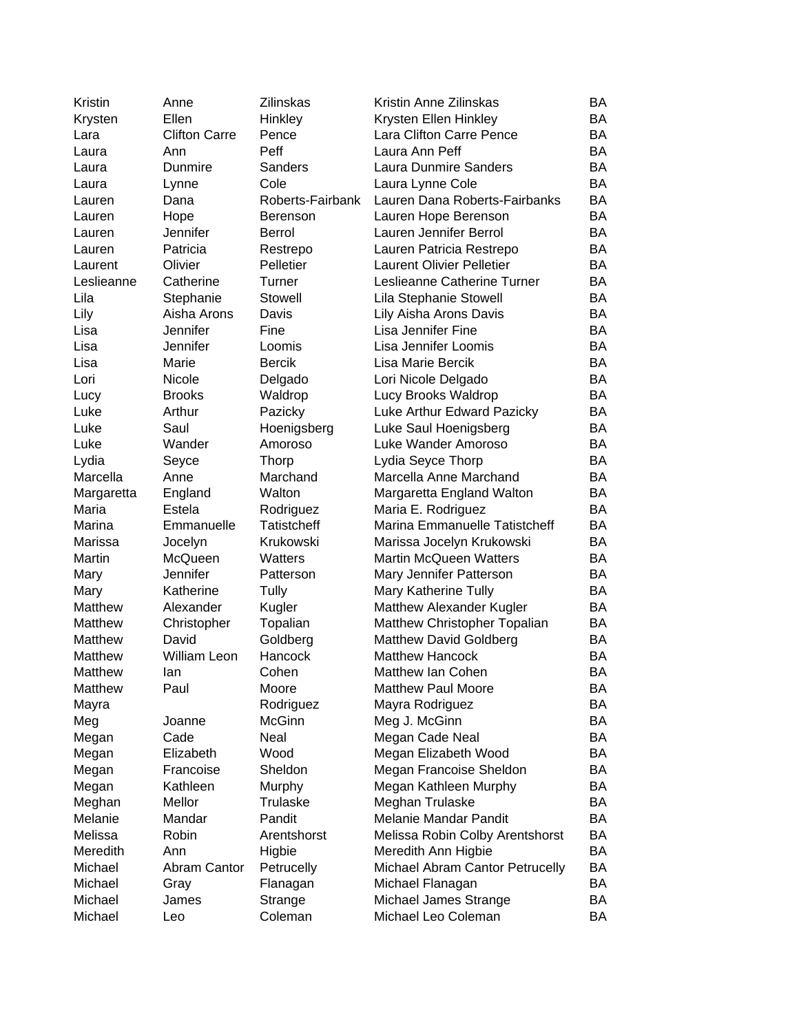| Kristin    | Anne                 | <b>Zilinskas</b>     | Kristin Anne Zilinskas           | BA        |
|------------|----------------------|----------------------|----------------------------------|-----------|
| Krysten    | Ellen                | Hinkley              | Krysten Ellen Hinkley            | <b>BA</b> |
| Lara       | <b>Clifton Carre</b> | Pence                | Lara Clifton Carre Pence         | BA        |
| Laura      | Ann                  | Peff                 | Laura Ann Peff                   | <b>BA</b> |
| Laura      | Dunmire              | Sanders              | Laura Dunmire Sanders            | <b>BA</b> |
| Laura      | Lynne                | Cole                 | Laura Lynne Cole                 | <b>BA</b> |
| Lauren     | Dana                 | Roberts-Fairbank     | Lauren Dana Roberts-Fairbanks    | BA        |
| Lauren     | Hope                 | <b>Berenson</b>      | Lauren Hope Berenson             | BA        |
| Lauren     | Jennifer             | <b>Berrol</b>        | Lauren Jennifer Berrol           | BA        |
| Lauren     | Patricia             | Restrepo             | Lauren Patricia Restrepo         | BA        |
| Laurent    | Olivier              | Pelletier            | <b>Laurent Olivier Pelletier</b> | BA        |
| Leslieanne | Catherine            | Turner               | Leslieanne Catherine Turner      | BA        |
| Lila       | Stephanie            | Stowell              | Lila Stephanie Stowell           | BA        |
| Lily       | Aisha Arons          | Davis                | Lily Aisha Arons Davis           | BA        |
| Lisa       | Jennifer             | Fine                 | Lisa Jennifer Fine               | BA        |
| Lisa       | Jennifer             | Loomis               | Lisa Jennifer Loomis             | BA        |
| Lisa       | Marie                | <b>Bercik</b>        | Lisa Marie Bercik                | BA        |
| Lori       | Nicole               | Delgado              | Lori Nicole Delgado              | BA        |
| Lucy       | <b>Brooks</b>        | Waldrop              | Lucy Brooks Waldrop              | BA        |
| Luke       | Arthur               | Pazicky              | Luke Arthur Edward Pazicky       | BA        |
| Luke       | Saul                 | Hoenigsberg          | Luke Saul Hoenigsberg            | BA        |
| Luke       | Wander               | Amoroso              | Luke Wander Amoroso              | BA        |
| Lydia      | Seyce                | <b>Thorp</b>         | Lydia Seyce Thorp                | <b>BA</b> |
| Marcella   | Anne                 | Marchand             | Marcella Anne Marchand           | <b>BA</b> |
| Margaretta | England              | Walton               | Margaretta England Walton        | <b>BA</b> |
| Maria      | Estela               | Rodriguez            | Maria E. Rodriguez               | <b>BA</b> |
| Marina     | Emmanuelle           | <b>Tatistcheff</b>   | Marina Emmanuelle Tatistcheff    | <b>BA</b> |
| Marissa    | Jocelyn              | Krukowski            | Marissa Jocelyn Krukowski        | BA        |
| Martin     | McQueen              | Watters              | <b>Martin McQueen Watters</b>    | BA        |
| Mary       | Jennifer             | Patterson            | Mary Jennifer Patterson          | BA        |
| Mary       | Katherine            | Tully                | Mary Katherine Tully             | BA        |
| Matthew    | Alexander            | Kugler               | Matthew Alexander Kugler         | BA        |
| Matthew    | Christopher          |                      | Matthew Christopher Topalian     | BA        |
| Matthew    | David                | Topalian<br>Goldberg | <b>Matthew David Goldberg</b>    | BA        |
| Matthew    | <b>William Leon</b>  | Hancock              | <b>Matthew Hancock</b>           | <b>BA</b> |
| Matthew    |                      | Cohen                | Matthew Ian Cohen                | <b>BA</b> |
| Matthew    | lan                  |                      | <b>Matthew Paul Moore</b>        | BA        |
|            | Paul                 | Moore                |                                  | BA        |
| Mayra      |                      | Rodriguez            | Mayra Rodriguez                  | BA        |
| Meg        | Joanne               | <b>McGinn</b>        | Meg J. McGinn<br>Megan Cade Neal | BA        |
| Megan      | Cade<br>Elizabeth    | Neal<br>Wood         |                                  | BA        |
| Megan      | Francoise            | Sheldon              | Megan Elizabeth Wood             | BA        |
| Megan      | Kathleen             |                      | Megan Francoise Sheldon          |           |
| Megan      |                      | Murphy<br>Trulaske   | Megan Kathleen Murphy            | BA<br>BA  |
| Meghan     | Mellor               |                      | Meghan Trulaske                  |           |
| Melanie    | Mandar               | Pandit               | Melanie Mandar Pandit            | BA        |
| Melissa    | Robin                | Arentshorst          | Melissa Robin Colby Arentshorst  | BA        |
| Meredith   | Ann                  | Higbie               | Meredith Ann Higbie              | BA        |
| Michael    | Abram Cantor         | Petrucelly           | Michael Abram Cantor Petrucelly  | BA        |
| Michael    | Gray                 | Flanagan             | Michael Flanagan                 | BA        |
| Michael    | James                | Strange              | Michael James Strange            | BA        |
| Michael    | Leo                  | Coleman              | Michael Leo Coleman              | BA        |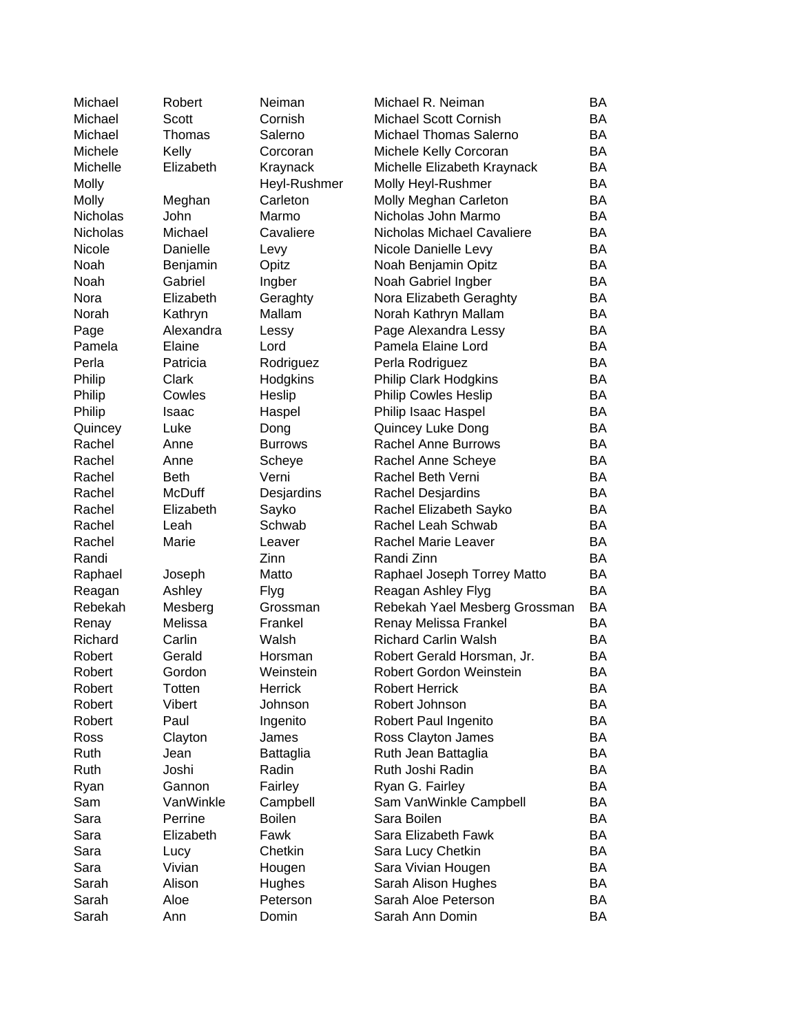| Michael         | Robert        | Neiman         | Michael R. Neiman             | BA        |
|-----------------|---------------|----------------|-------------------------------|-----------|
| Michael         | Scott         | Cornish        | <b>Michael Scott Cornish</b>  | BA        |
| Michael         | Thomas        | Salerno        | Michael Thomas Salerno        | BA        |
| Michele         | Kelly         | Corcoran       | Michele Kelly Corcoran        | <b>BA</b> |
| Michelle        | Elizabeth     | Kraynack       | Michelle Elizabeth Kraynack   | <b>BA</b> |
| Molly           |               | Heyl-Rushmer   | Molly Heyl-Rushmer            | <b>BA</b> |
| Molly           | Meghan        | Carleton       | Molly Meghan Carleton         | <b>BA</b> |
| <b>Nicholas</b> | John          | Marmo          | Nicholas John Marmo           | BA        |
| Nicholas        | Michael       | Cavaliere      | Nicholas Michael Cavaliere    | BA        |
| Nicole          | Danielle      | Levy           | Nicole Danielle Levy          | BA        |
| Noah            | Benjamin      | Opitz          | Noah Benjamin Opitz           | BA        |
| Noah            | Gabriel       | Ingber         | Noah Gabriel Ingber           | BA        |
| Nora            | Elizabeth     | Geraghty       | Nora Elizabeth Geraghty       | BA        |
| Norah           | Kathryn       | Mallam         | Norah Kathryn Mallam          | BA        |
| Page            | Alexandra     | Lessy          | Page Alexandra Lessy          | BA        |
| Pamela          | Elaine        | Lord           | Pamela Elaine Lord            | BA        |
| Perla           | Patricia      | Rodriguez      | Perla Rodriguez               | <b>BA</b> |
| Philip          | Clark         | Hodgkins       | <b>Philip Clark Hodgkins</b>  | BA        |
| Philip          | Cowles        | Heslip         | <b>Philip Cowles Heslip</b>   | BA        |
| Philip          | Isaac         | Haspel         | Philip Isaac Haspel           | BA        |
| Quincey         | Luke          | Dong           | Quincey Luke Dong             | BA        |
| Rachel          | Anne          | <b>Burrows</b> | <b>Rachel Anne Burrows</b>    | <b>BA</b> |
| Rachel          | Anne          | Scheye         | Rachel Anne Scheye            | BA        |
| Rachel          | <b>Beth</b>   | Verni          | Rachel Beth Verni             | <b>BA</b> |
| Rachel          | <b>McDuff</b> | Desjardins     | Rachel Desjardins             | BA        |
| Rachel          | Elizabeth     | Sayko          | Rachel Elizabeth Sayko        | <b>BA</b> |
| Rachel          | Leah          | Schwab         | Rachel Leah Schwab            | BA        |
| Rachel          | Marie         | Leaver         | Rachel Marie Leaver           | <b>BA</b> |
| Randi           |               | Zinn           | Randi Zinn                    | <b>BA</b> |
| Raphael         | Joseph        | Matto          | Raphael Joseph Torrey Matto   | <b>BA</b> |
| Reagan          | Ashley        | Flyg           | Reagan Ashley Flyg            | <b>BA</b> |
| Rebekah         | Mesberg       | Grossman       | Rebekah Yael Mesberg Grossman | BA        |
| Renay           | Melissa       | Frankel        | Renay Melissa Frankel         | BA        |
| Richard         | Carlin        | Walsh          | <b>Richard Carlin Walsh</b>   | BA        |
| Robert          | Gerald        | Horsman        | Robert Gerald Horsman, Jr.    | <b>BA</b> |
| Robert          | Gordon        | Weinstein      | Robert Gordon Weinstein       | BA        |
| Robert          | Totten        | Herrick        | <b>Robert Herrick</b>         | BA        |
| Robert          | Vibert        | Johnson        | Robert Johnson                | BA        |
| Robert          | Paul          | Ingenito       | Robert Paul Ingenito          | BA        |
| Ross            | Clayton       | James          | Ross Clayton James            | BA        |
| Ruth            | Jean          | Battaglia      | Ruth Jean Battaglia           | BA        |
| Ruth            | Joshi         | Radin          | Ruth Joshi Radin              | BA        |
| Ryan            | Gannon        | Fairley        | Ryan G. Fairley               | BA        |
| Sam             | VanWinkle     | Campbell       | Sam VanWinkle Campbell        | BA        |
| Sara            | Perrine       | <b>Boilen</b>  | Sara Boilen                   | BA        |
| Sara            | Elizabeth     | Fawk           | Sara Elizabeth Fawk           | BA        |
| Sara            | Lucy          | Chetkin        | Sara Lucy Chetkin             | BA        |
| Sara            | Vivian        | Hougen         | Sara Vivian Hougen            | BA        |
| Sarah           | Alison        | Hughes         | Sarah Alison Hughes           | BA        |
| Sarah           | Aloe          | Peterson       | Sarah Aloe Peterson           | BA        |
| Sarah           | Ann           | Domin          | Sarah Ann Domin               | BA        |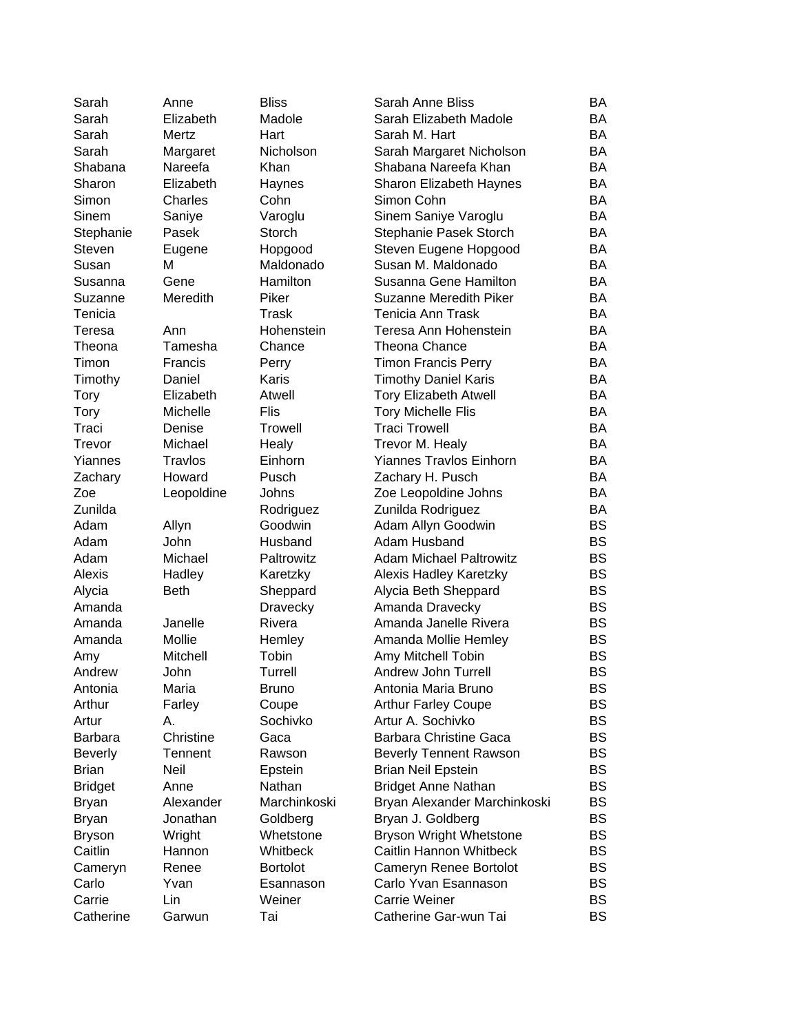| Sarah          | Anne           | <b>Bliss</b>      | Sarah Anne Bliss                               | BA        |
|----------------|----------------|-------------------|------------------------------------------------|-----------|
| Sarah          | Elizabeth      | Madole            | Sarah Elizabeth Madole                         | BA        |
| Sarah          | Mertz          | Hart              | Sarah M. Hart                                  | BA        |
| Sarah          | Margaret       | Nicholson         | Sarah Margaret Nicholson                       | BA        |
| Shabana        | Nareefa        | Khan              | Shabana Nareefa Khan                           | BA        |
| Sharon         | Elizabeth      | Haynes            | <b>Sharon Elizabeth Haynes</b>                 | BA        |
| Simon          | Charles        | Cohn              | Simon Cohn                                     | BA        |
| Sinem          | Saniye         | Varoglu           | Sinem Saniye Varoglu                           | BA        |
| Stephanie      | Pasek          | Storch            | Stephanie Pasek Storch                         | BA        |
| Steven         | Eugene         | Hopgood           | Steven Eugene Hopgood                          | BA        |
| Susan          | M              | Maldonado         | Susan M. Maldonado                             | BA        |
| Susanna        | Gene           | Hamilton          | Susanna Gene Hamilton                          | BA        |
| Suzanne        | Meredith       | Piker             | Suzanne Meredith Piker                         | BA        |
| Tenicia        |                | Trask             | Tenicia Ann Trask                              | BA        |
| Teresa         | Ann            | Hohenstein        | Teresa Ann Hohenstein                          | BA        |
| Theona         | Tamesha        | Chance            | <b>Theona Chance</b>                           | BA        |
| Timon          | Francis        | Perry             | <b>Timon Francis Perry</b>                     | BA        |
| Timothy        | Daniel         | Karis             | <b>Timothy Daniel Karis</b>                    | BA        |
| <b>Tory</b>    | Elizabeth      | Atwell            | <b>Tory Elizabeth Atwell</b>                   | BA        |
| Tory           | Michelle       | Flis              | <b>Tory Michelle Flis</b>                      | BA        |
| Traci          | Denise         | <b>Trowell</b>    | <b>Traci Trowell</b>                           | BA        |
| Trevor         | Michael        | Healy             | Trevor M. Healy                                | BA        |
| Yiannes        | Travlos        | Einhorn           | <b>Yiannes Travlos Einhorn</b>                 | BA        |
| Zachary        | Howard         | Pusch             | Zachary H. Pusch                               | BA        |
| Zoe            | Leopoldine     | Johns             | Zoe Leopoldine Johns                           | BA        |
| Zunilda        |                | Rodriguez         | Zunilda Rodriguez                              | BA        |
| Adam           | Allyn          | Goodwin           | Adam Allyn Goodwin                             | <b>BS</b> |
| Adam           | John           | Husband           | Adam Husband                                   | <b>BS</b> |
| Adam           | Michael        | Paltrowitz        | <b>Adam Michael Paltrowitz</b>                 | <b>BS</b> |
| Alexis         | Hadley         | Karetzky          |                                                | <b>BS</b> |
| Alycia         | Beth           | Sheppard          | Alexis Hadley Karetzky<br>Alycia Beth Sheppard | <b>BS</b> |
| Amanda         |                | Dravecky          | Amanda Dravecky                                | <b>BS</b> |
| Amanda         | Janelle        | Rivera            | Amanda Janelle Rivera                          | <b>BS</b> |
| Amanda         | Mollie         | Hemley            | Amanda Mollie Hemley                           | <b>BS</b> |
|                | Mitchell       | Tobin             | Amy Mitchell Tobin                             | <b>BS</b> |
| Amy<br>Andrew  |                | Turrell           | <b>Andrew John Turrell</b>                     | <b>BS</b> |
| Antonia        | John<br>Maria  | Bruno             | Antonia Maria Bruno                            | BS        |
| Arthur         |                |                   | <b>Arthur Farley Coupe</b>                     | <b>BS</b> |
| Artur          | Farley<br>А.   | Coupe<br>Sochivko | Artur A. Sochivko                              | <b>BS</b> |
|                | Christine      |                   | <b>Barbara Christine Gaca</b>                  |           |
| <b>Barbara</b> |                | Gaca              |                                                | <b>BS</b> |
| <b>Beverly</b> | <b>Tennent</b> | Rawson            | <b>Beverly Tennent Rawson</b>                  | <b>BS</b> |
| <b>Brian</b>   | Neil           | Epstein           | <b>Brian Neil Epstein</b>                      | <b>BS</b> |
| <b>Bridget</b> | Anne           | Nathan            | <b>Bridget Anne Nathan</b>                     | <b>BS</b> |
| Bryan          | Alexander      | Marchinkoski      | Bryan Alexander Marchinkoski                   | <b>BS</b> |
| Bryan          | Jonathan       | Goldberg          | Bryan J. Goldberg                              | BS        |
| <b>Bryson</b>  | Wright         | Whetstone         | Bryson Wright Whetstone                        | <b>BS</b> |
| Caitlin        | Hannon         | Whitbeck          | Caitlin Hannon Whitbeck                        | <b>BS</b> |
| Cameryn        | Renee          | <b>Bortolot</b>   | Cameryn Renee Bortolot                         | <b>BS</b> |
| Carlo          | Yvan           | Esannason         | Carlo Yvan Esannason                           | <b>BS</b> |
| Carrie         | Lin            | Weiner            | <b>Carrie Weiner</b>                           | <b>BS</b> |
| Catherine      | Garwun         | Tai               | Catherine Gar-wun Tai                          | <b>BS</b> |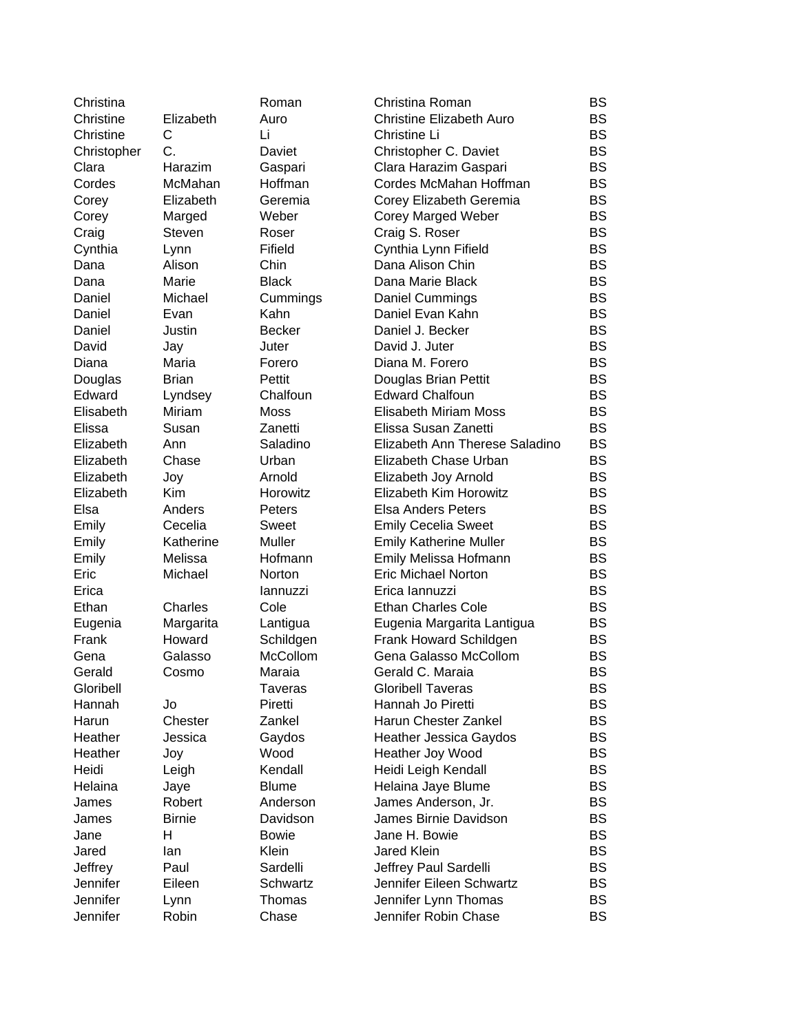| Christina   |               | Roman          | Christina Roman                 | <b>BS</b> |
|-------------|---------------|----------------|---------------------------------|-----------|
| Christine   | Elizabeth     | Auro           | <b>Christine Elizabeth Auro</b> | <b>BS</b> |
| Christine   | C             | Li             | Christine Li                    | <b>BS</b> |
| Christopher | C.            | Daviet         | Christopher C. Daviet           | <b>BS</b> |
| Clara       | Harazim       | Gaspari        | Clara Harazim Gaspari           | <b>BS</b> |
| Cordes      | McMahan       | Hoffman        | Cordes McMahan Hoffman          | <b>BS</b> |
| Corey       | Elizabeth     | Geremia        | Corey Elizabeth Geremia         | <b>BS</b> |
| Corey       | Marged        | Weber          | <b>Corey Marged Weber</b>       | <b>BS</b> |
| Craig       | Steven        | Roser          | Craig S. Roser                  | <b>BS</b> |
| Cynthia     | Lynn          | Fifield        | Cynthia Lynn Fifield            | <b>BS</b> |
| Dana        | Alison        | Chin           | Dana Alison Chin                | <b>BS</b> |
| Dana        | Marie         | <b>Black</b>   | Dana Marie Black                | <b>BS</b> |
| Daniel      | Michael       | Cummings       | Daniel Cummings                 | <b>BS</b> |
| Daniel      | Evan          | Kahn           | Daniel Evan Kahn                | <b>BS</b> |
| Daniel      | Justin        | <b>Becker</b>  | Daniel J. Becker                | <b>BS</b> |
| David       | Jay           | Juter          | David J. Juter                  | <b>BS</b> |
| Diana       | Maria         | Forero         | Diana M. Forero                 | <b>BS</b> |
| Douglas     | <b>Brian</b>  | Pettit         | Douglas Brian Pettit            | <b>BS</b> |
| Edward      | Lyndsey       | Chalfoun       | <b>Edward Chalfoun</b>          | <b>BS</b> |
| Elisabeth   | Miriam        | <b>Moss</b>    | Elisabeth Miriam Moss           | <b>BS</b> |
| Elissa      | Susan         | Zanetti        | Elissa Susan Zanetti            | <b>BS</b> |
| Elizabeth   | Ann           | Saladino       | Elizabeth Ann Therese Saladino  | <b>BS</b> |
| Elizabeth   | Chase         | Urban          | Elizabeth Chase Urban           | <b>BS</b> |
|             |               |                |                                 |           |
| Elizabeth   | Joy           | Arnold         | Elizabeth Joy Arnold            | <b>BS</b> |
| Elizabeth   | <b>Kim</b>    | Horowitz       | Elizabeth Kim Horowitz          | <b>BS</b> |
| Elsa        | Anders        | Peters         | <b>Elsa Anders Peters</b>       | <b>BS</b> |
| Emily       | Cecelia       | Sweet          | <b>Emily Cecelia Sweet</b>      | <b>BS</b> |
| Emily       | Katherine     | Muller         | <b>Emily Katherine Muller</b>   | <b>BS</b> |
| Emily       | Melissa       | Hofmann        | Emily Melissa Hofmann           | <b>BS</b> |
| Eric        | Michael       | Norton         | <b>Eric Michael Norton</b>      | <b>BS</b> |
| Erica       |               | lannuzzi       | Erica lannuzzi                  | <b>BS</b> |
| Ethan       | Charles       | Cole           | <b>Ethan Charles Cole</b>       | <b>BS</b> |
| Eugenia     | Margarita     | Lantigua       | Eugenia Margarita Lantigua      | <b>BS</b> |
| Frank       | Howard        | Schildgen      | Frank Howard Schildgen          | <b>BS</b> |
| Gena        | Galasso       | McCollom       | Gena Galasso McCollom           | <b>BS</b> |
| Gerald      | Cosmo         | Maraia         | Gerald C. Maraia                | <b>BS</b> |
| Gloribell   |               | <b>Taveras</b> | <b>Gloribell Taveras</b>        | <b>BS</b> |
| Hannah      | Jo            | Piretti        | Hannah Jo Piretti               | <b>BS</b> |
| Harun       | Chester       | Zankel         | Harun Chester Zankel            | <b>BS</b> |
| Heather     | Jessica       | Gaydos         | <b>Heather Jessica Gaydos</b>   | <b>BS</b> |
| Heather     | Joy           | Wood           | Heather Joy Wood                | <b>BS</b> |
| Heidi       | Leigh         | Kendall        | Heidi Leigh Kendall             | <b>BS</b> |
| Helaina     | Jaye          | <b>Blume</b>   | Helaina Jaye Blume              | <b>BS</b> |
| James       | Robert        | Anderson       | James Anderson, Jr.             | <b>BS</b> |
| James       | <b>Birnie</b> | Davidson       | James Birnie Davidson           | <b>BS</b> |
| Jane        | н             | <b>Bowie</b>   | Jane H. Bowie                   | <b>BS</b> |
| Jared       | lan           | Klein          | <b>Jared Klein</b>              | <b>BS</b> |
| Jeffrey     | Paul          | Sardelli       | Jeffrey Paul Sardelli           | <b>BS</b> |
| Jennifer    | Eileen        | Schwartz       | Jennifer Eileen Schwartz        | <b>BS</b> |
| Jennifer    | Lynn          | Thomas         | Jennifer Lynn Thomas            | <b>BS</b> |
| Jennifer    | Robin         | Chase          | Jennifer Robin Chase            | <b>BS</b> |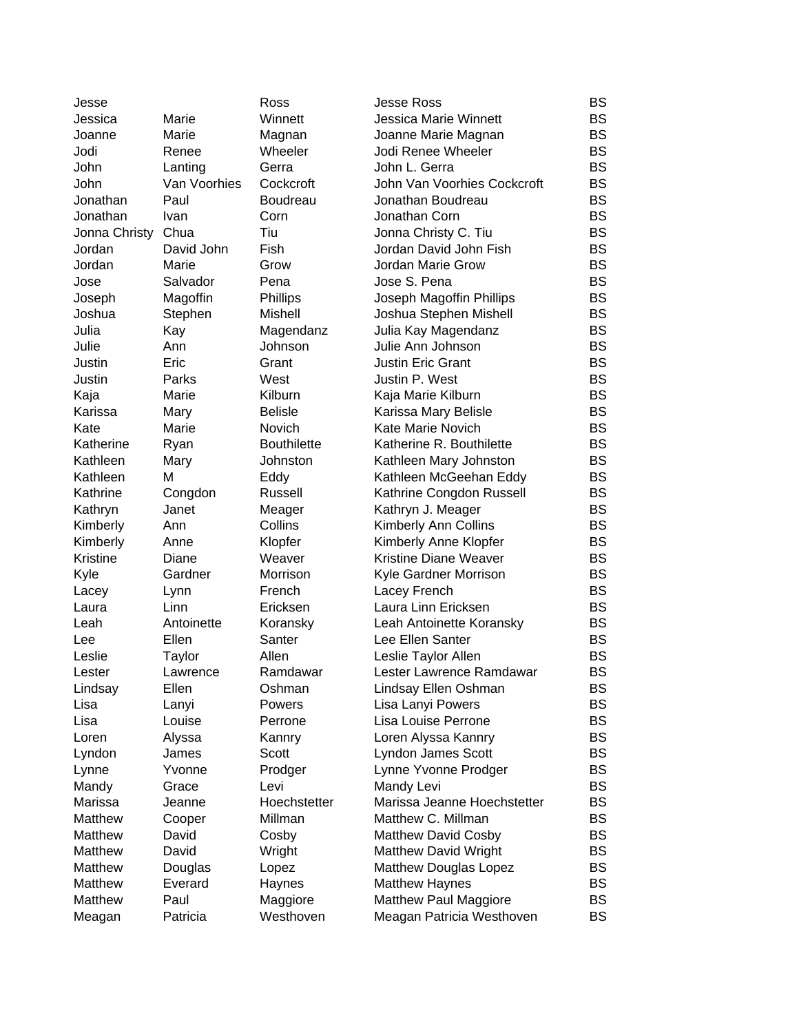| Jesse              |              | Ross               | <b>Jesse Ross</b>            | BS        |
|--------------------|--------------|--------------------|------------------------------|-----------|
| Jessica            | Marie        | Winnett            | <b>Jessica Marie Winnett</b> | <b>BS</b> |
| Joanne             | Marie        | Magnan             | Joanne Marie Magnan          | <b>BS</b> |
| Jodi               | Renee        | Wheeler            | Jodi Renee Wheeler           | <b>BS</b> |
| John               | Lanting      | Gerra              | John L. Gerra                | <b>BS</b> |
| John               | Van Voorhies | Cockcroft          | John Van Voorhies Cockcroft  | <b>BS</b> |
| Jonathan           | Paul         | Boudreau           | Jonathan Boudreau            | <b>BS</b> |
| Jonathan           | Ivan         | Corn               | Jonathan Corn                | <b>BS</b> |
| Jonna Christy Chua |              | Tiu                | Jonna Christy C. Tiu         | <b>BS</b> |
| Jordan             | David John   | Fish               | Jordan David John Fish       | <b>BS</b> |
| Jordan             | Marie        | Grow               | Jordan Marie Grow            | <b>BS</b> |
| Jose               | Salvador     | Pena               | Jose S. Pena                 | <b>BS</b> |
| Joseph             | Magoffin     | Phillips           | Joseph Magoffin Phillips     | <b>BS</b> |
| Joshua             | Stephen      | Mishell            | Joshua Stephen Mishell       | BS        |
| Julia              | Kay          | Magendanz          | Julia Kay Magendanz          | <b>BS</b> |
| Julie              | Ann          | Johnson            | Julie Ann Johnson            | <b>BS</b> |
| Justin             | Eric         | Grant              | <b>Justin Eric Grant</b>     | <b>BS</b> |
| Justin             | Parks        | West               | Justin P. West               | <b>BS</b> |
| Kaja               | Marie        | Kilburn            | Kaja Marie Kilburn           | <b>BS</b> |
| Karissa            | Mary         | <b>Belisle</b>     | Karissa Mary Belisle         | <b>BS</b> |
| Kate               | Marie        | Novich             | <b>Kate Marie Novich</b>     | <b>BS</b> |
| Katherine          | Ryan         | <b>Bouthilette</b> | Katherine R. Bouthilette     | <b>BS</b> |
| Kathleen           | Mary         | Johnston           | Kathleen Mary Johnston       | BS        |
| Kathleen           | M            | Eddy               | Kathleen McGeehan Eddy       | <b>BS</b> |
| Kathrine           | Congdon      | Russell            | Kathrine Congdon Russell     | <b>BS</b> |
| Kathryn            | Janet        | Meager             | Kathryn J. Meager            | <b>BS</b> |
| Kimberly           | Ann          | Collins            | Kimberly Ann Collins         | <b>BS</b> |
| Kimberly           | Anne         | Klopfer            | Kimberly Anne Klopfer        | <b>BS</b> |
| Kristine           | Diane        | Weaver             | <b>Kristine Diane Weaver</b> | <b>BS</b> |
| Kyle               | Gardner      | Morrison           | Kyle Gardner Morrison        | <b>BS</b> |
| Lacey              | Lynn         | French             | Lacey French                 | <b>BS</b> |
| Laura              | Linn         | Ericksen           | Laura Linn Ericksen          | <b>BS</b> |
| Leah               | Antoinette   | Koransky           | Leah Antoinette Koransky     | <b>BS</b> |
| Lee                | Ellen        | Santer             | Lee Ellen Santer             | <b>BS</b> |
| Leslie             | Taylor       | Allen              | Leslie Taylor Allen          | <b>BS</b> |
| Lester             | Lawrence     | Ramdawar           | Lester Lawrence Ramdawar     | <b>BS</b> |
| Lindsay            | Ellen        | Oshman             | Lindsay Ellen Oshman         | BS        |
| Lisa               | Lanyi        | Powers             | Lisa Lanyi Powers            | <b>BS</b> |
| Lisa               | Louise       | Perrone            | Lisa Louise Perrone          | BS        |
| Loren              | Alyssa       | Kannry             | Loren Alyssa Kannry          | <b>BS</b> |
| Lyndon             | James        | Scott              | Lyndon James Scott           | <b>BS</b> |
| Lynne              | Yvonne       | Prodger            | Lynne Yvonne Prodger         | <b>BS</b> |
| Mandy              | Grace        | Levi               | Mandy Levi                   | <b>BS</b> |
| Marissa            | Jeanne       | Hoechstetter       | Marissa Jeanne Hoechstetter  | <b>BS</b> |
| Matthew            | Cooper       | Millman            | Matthew C. Millman           | BS        |
| Matthew            | David        | Cosby              | <b>Matthew David Cosby</b>   | BS        |
| Matthew            | David        | Wright             | Matthew David Wright         | <b>BS</b> |
| Matthew            | Douglas      | Lopez              | <b>Matthew Douglas Lopez</b> | BS        |
| Matthew            | Everard      | Haynes             | <b>Matthew Haynes</b>        | <b>BS</b> |
| Matthew            | Paul         | Maggiore           | Matthew Paul Maggiore        | BS        |
| Meagan             | Patricia     | Westhoven          | Meagan Patricia Westhoven    | BS        |